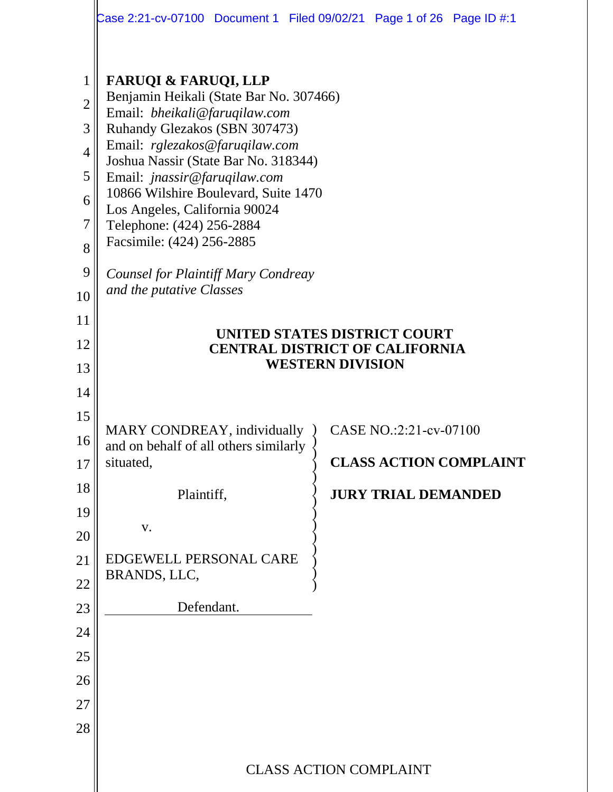|                                                                           | Case 2:21-cv-07100 Document 1 Filed 09/02/21 Page 1 of 26 Page ID #:1                                                                                                                                                                                                                                                                                                                                                                                               |                         |                                                      |                               |
|---------------------------------------------------------------------------|---------------------------------------------------------------------------------------------------------------------------------------------------------------------------------------------------------------------------------------------------------------------------------------------------------------------------------------------------------------------------------------------------------------------------------------------------------------------|-------------------------|------------------------------------------------------|-------------------------------|
| 1<br>$\overline{2}$<br>3<br>$\overline{4}$<br>5<br>6<br>7<br>8<br>9<br>10 | <b>FARUQI &amp; FARUQI, LLP</b><br>Benjamin Heikali (State Bar No. 307466)<br>Email: bheikali@faruqilaw.com<br>Ruhandy Glezakos (SBN 307473)<br>Email: rglezakos@faruqilaw.com<br>Joshua Nassir (State Bar No. 318344)<br>Email: jnassir@faruqilaw.com<br>10866 Wilshire Boulevard, Suite 1470<br>Los Angeles, California 90024<br>Telephone: (424) 256-2884<br>Facsimile: (424) 256-2885<br><b>Counsel for Plaintiff Mary Condreay</b><br>and the putative Classes |                         |                                                      |                               |
| 11<br>12<br>13<br>14                                                      | UNITED STATES DISTRICT COURT<br><b>CENTRAL DISTRICT OF CALIFORNIA</b>                                                                                                                                                                                                                                                                                                                                                                                               | <b>WESTERN DIVISION</b> |                                                      |                               |
| 15<br>16<br>17<br>18<br>19<br>20<br>21<br>22<br>23<br>24<br>25            | MARY CONDREAY, individually<br>and on behalf of all others similarly<br>situated,<br>Plaintiff,<br>V.<br>EDGEWELL PERSONAL CARE<br>BRANDS, LLC,<br>Defendant.                                                                                                                                                                                                                                                                                                       |                         | CASE NO.:2:21-cv-07100<br><b>JURY TRIAL DEMANDED</b> | <b>CLASS ACTION COMPLAINT</b> |
| 26<br>27<br>28                                                            | <b>CLASS ACTION COMPLAINT</b>                                                                                                                                                                                                                                                                                                                                                                                                                                       |                         |                                                      |                               |
|                                                                           |                                                                                                                                                                                                                                                                                                                                                                                                                                                                     |                         |                                                      |                               |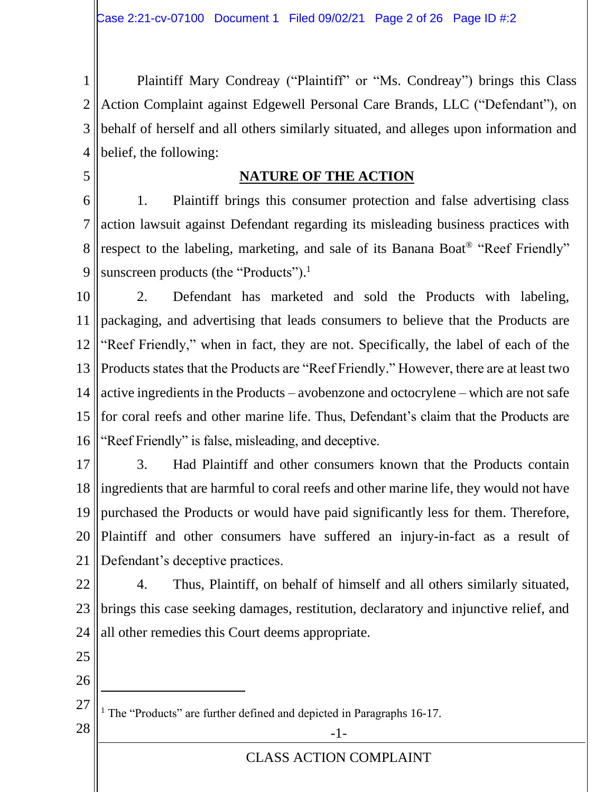1 2 3 4 Plaintiff Mary Condreay ("Plaintiff" or "Ms. Condreay") brings this Class Action Complaint against Edgewell Personal Care Brands, LLC ("Defendant"), on behalf of herself and all others similarly situated, and alleges upon information and belief, the following:

5

# **NATURE OF THE ACTION**

6 7 8 9 1. Plaintiff brings this consumer protection and false advertising class action lawsuit against Defendant regarding its misleading business practices with respect to the labeling, marketing, and sale of its Banana Boat<sup>®</sup> "Reef Friendly" sunscreen products (the "Products").<sup>1</sup>

10 11 12 13 14 15 16 2. Defendant has marketed and sold the Products with labeling, packaging, and advertising that leads consumers to believe that the Products are "Reef Friendly," when in fact, they are not. Specifically, the label of each of the Products states that the Products are "Reef Friendly." However, there are at least two active ingredients in the Products – avobenzone and octocrylene – which are not safe for coral reefs and other marine life. Thus, Defendant's claim that the Products are "Reef Friendly" is false, misleading, and deceptive.

17 18 19 20 21 3. Had Plaintiff and other consumers known that the Products contain ingredients that are harmful to coral reefs and other marine life, they would not have purchased the Products or would have paid significantly less for them. Therefore, Plaintiff and other consumers have suffered an injury-in-fact as a result of Defendant's deceptive practices.

22 23 24 4. Thus, Plaintiff, on behalf of himself and all others similarly situated, brings this case seeking damages, restitution, declaratory and injunctive relief, and all other remedies this Court deems appropriate.

- 25
- 26

27 <sup>1</sup> The "Products" are further defined and depicted in Paragraphs 16-17.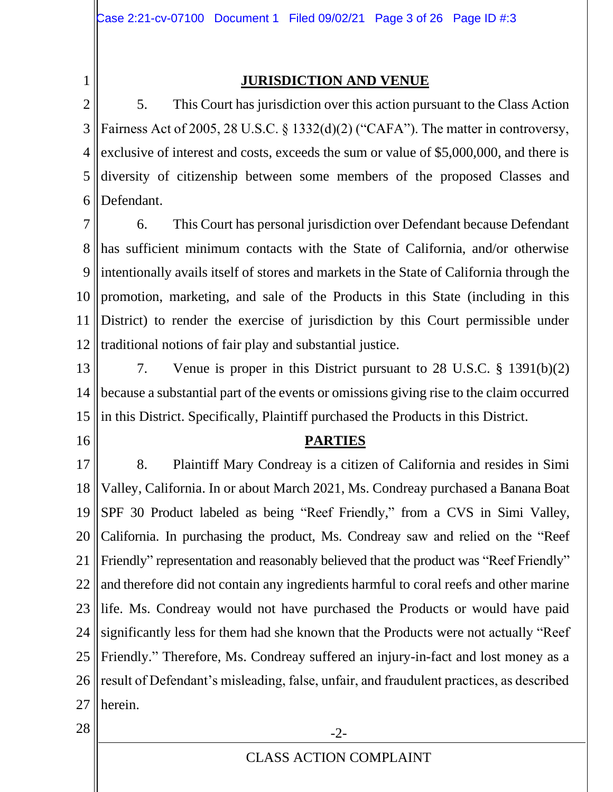1

### **JURISDICTION AND VENUE**

2 3 4 5 6 5. This Court has jurisdiction over this action pursuant to the Class Action Fairness Act of 2005, 28 U.S.C. § 1332(d)(2) ("CAFA"). The matter in controversy, exclusive of interest and costs, exceeds the sum or value of \$5,000,000, and there is diversity of citizenship between some members of the proposed Classes and Defendant.

7 8 9 10 11 12 6. This Court has personal jurisdiction over Defendant because Defendant has sufficient minimum contacts with the State of California, and/or otherwise intentionally avails itself of stores and markets in the State of California through the promotion, marketing, and sale of the Products in this State (including in this District) to render the exercise of jurisdiction by this Court permissible under traditional notions of fair play and substantial justice.

- 13 14 15 7. Venue is proper in this District pursuant to 28 U.S.C. § 1391(b)(2) because a substantial part of the events or omissions giving rise to the claim occurred in this District. Specifically, Plaintiff purchased the Products in this District.
- 16

#### **PARTIES**

17 18 19 20 21 22 23 24 25 26 27 8. Plaintiff Mary Condreay is a citizen of California and resides in Simi Valley, California. In or about March 2021, Ms. Condreay purchased a Banana Boat SPF 30 Product labeled as being "Reef Friendly," from a CVS in Simi Valley, California. In purchasing the product, Ms. Condreay saw and relied on the "Reef Friendly" representation and reasonably believed that the product was "Reef Friendly" and therefore did not contain any ingredients harmful to coral reefs and other marine life. Ms. Condreay would not have purchased the Products or would have paid significantly less for them had she known that the Products were not actually "Reef Friendly." Therefore, Ms. Condreay suffered an injury-in-fact and lost money as a result of Defendant's misleading, false, unfair, and fraudulent practices, as described herein.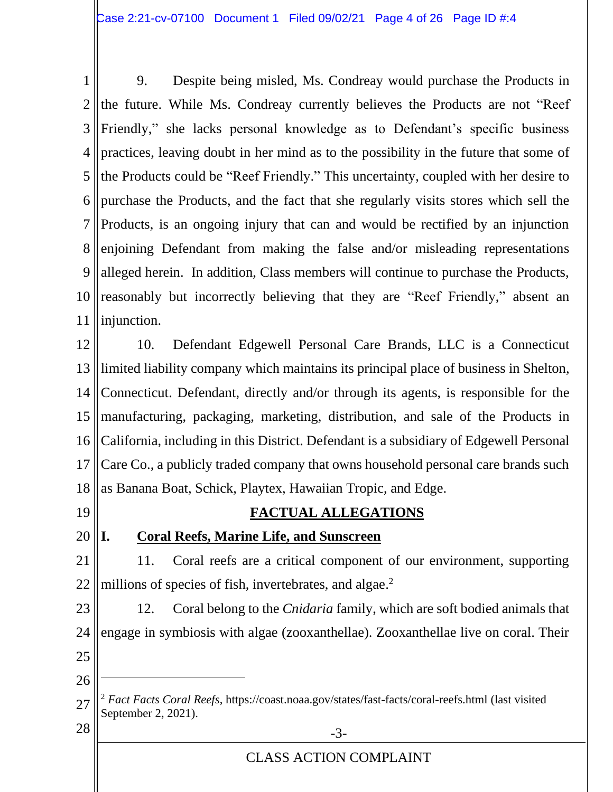1 2 3 4 5 6 7 8 9 10 11 9. Despite being misled, Ms. Condreay would purchase the Products in the future. While Ms. Condreay currently believes the Products are not "Reef Friendly," she lacks personal knowledge as to Defendant's specific business practices, leaving doubt in her mind as to the possibility in the future that some of the Products could be "Reef Friendly." This uncertainty, coupled with her desire to purchase the Products, and the fact that she regularly visits stores which sell the Products, is an ongoing injury that can and would be rectified by an injunction enjoining Defendant from making the false and/or misleading representations alleged herein. In addition, Class members will continue to purchase the Products, reasonably but incorrectly believing that they are "Reef Friendly," absent an injunction.

12 13 14 15 16 17 18 10. Defendant Edgewell Personal Care Brands, LLC is a Connecticut limited liability company which maintains its principal place of business in Shelton, Connecticut. Defendant, directly and/or through its agents, is responsible for the manufacturing, packaging, marketing, distribution, and sale of the Products in California, including in this District. Defendant is a subsidiary of Edgewell Personal Care Co., a publicly traded company that owns household personal care brands such as Banana Boat, Schick, Playtex, Hawaiian Tropic, and Edge.

19

# **FACTUAL ALLEGATIONS**

# 20

# **I. Coral Reefs, Marine Life, and Sunscreen**

21 22 11. Coral reefs are a critical component of our environment, supporting millions of species of fish, invertebrates, and algae.<sup>2</sup>

23 24 25 12. Coral belong to the *Cnidaria* family, which are soft bodied animals that engage in symbiosis with algae (zooxanthellae). Zooxanthellae live on coral. Their

<sup>27</sup>  $28 \parallel$  -3-<sup>2</sup> *Fact Facts Coral Reefs*,<https://coast.noaa.gov/states/fast-facts/coral-reefs.html> (last visited September 2, 2021).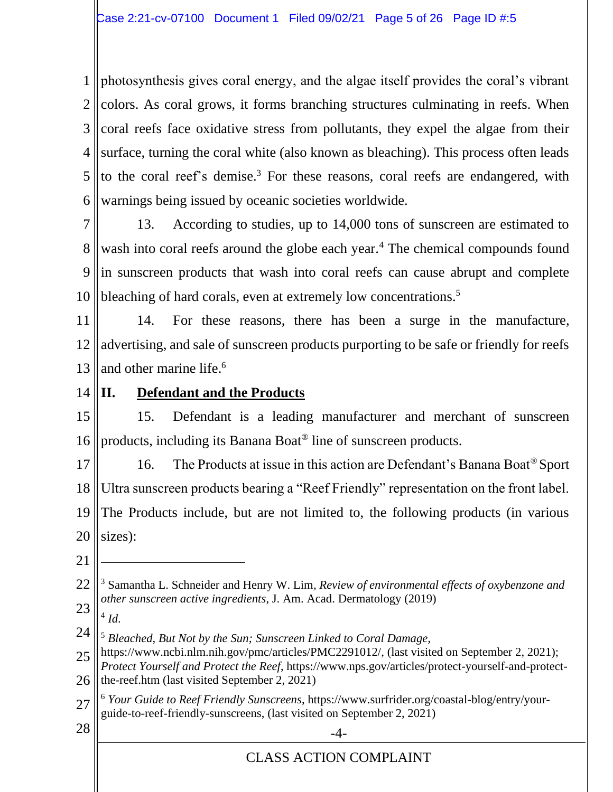1 2 3 4 5 6 photosynthesis gives coral energy, and the algae itself provides the coral's vibrant colors. As coral grows, it forms branching structures culminating in reefs. When coral reefs face oxidative stress from pollutants, they expel the algae from their surface, turning the coral white (also known as bleaching). This process often leads to the coral reef's demise.<sup>3</sup> For these reasons, coral reefs are endangered, with warnings being issued by oceanic societies worldwide.

7

8 9 10 13. According to studies, up to 14,000 tons of sunscreen are estimated to wash into coral reefs around the globe each year.<sup>4</sup> The chemical compounds found in sunscreen products that wash into coral reefs can cause abrupt and complete bleaching of hard corals, even at extremely low concentrations.<sup>5</sup>

11 12 13 14. For these reasons, there has been a surge in the manufacture, advertising, and sale of sunscreen products purporting to be safe or friendly for reefs and other marine life. 6

14

# **II. Defendant and the Products**

15 16 15. Defendant is a leading manufacturer and merchant of sunscreen products, including its Banana Boat® line of sunscreen products.

17 18 19 20 16. The Products at issue in this action are Defendant's Banana Boat® Sport Ultra sunscreen products bearing a "Reef Friendly" representation on the front label. The Products include, but are not limited to, the following products (in various sizes):

21

23 4 *Id*.

24 <sup>5</sup> *Bleached, But Not by the Sun; Sunscreen Linked to Coral Damage,* 

27 <sup>6</sup> *Your Guide to Reef Friendly Sunscreens*, https://www.surfrider.org/coastal-blog/entry/yourguide-to-reef-friendly-sunscreens, (last visited on September 2, 2021)

<sup>22</sup> <sup>3</sup> Samantha L. Schneider and Henry W. Lim*, Review of environmental effects of oxybenzone and other sunscreen active ingredients*, J. Am. Acad. Dermatology (2019)

<sup>25</sup> 26 https://www.ncbi.nlm.nih.gov/pmc/articles/PMC2291012/*,* (last visited on September 2, 2021); *Protect Yourself and Protect the Reef*, [https://www.nps.gov/articles/protect-yourself-and-protect](https://www.nps.gov/articles/protect-yourself-and-protect-the-reef.htm)[the-reef.htm](https://www.nps.gov/articles/protect-yourself-and-protect-the-reef.htm) (last visited September 2, 2021)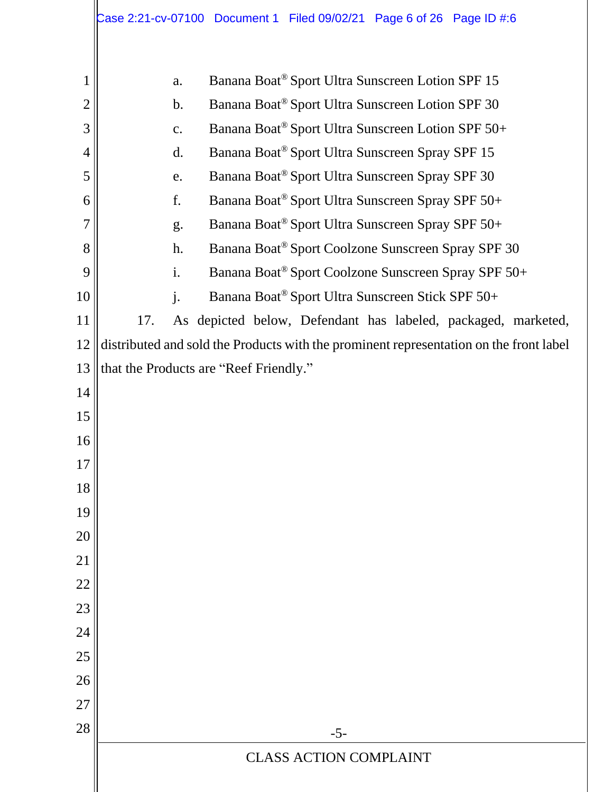|                | Case 2:21-cv-07100 Document 1 Filed 09/02/21 Page 6 of 26 Page ID #:6                  |
|----------------|----------------------------------------------------------------------------------------|
| 1              | Banana Boat® Sport Ultra Sunscreen Lotion SPF 15<br>a.                                 |
| $\overline{2}$ | Banana Boat® Sport Ultra Sunscreen Lotion SPF 30<br>$\mathbf b$ .                      |
| 3              | Banana Boat® Sport Ultra Sunscreen Lotion SPF 50+<br>$\mathbf{c}$ .                    |
| $\overline{4}$ | Banana Boat® Sport Ultra Sunscreen Spray SPF 15<br>d.                                  |
| 5              | Banana Boat® Sport Ultra Sunscreen Spray SPF 30<br>e.                                  |
| 6              | f.<br>Banana Boat® Sport Ultra Sunscreen Spray SPF 50+                                 |
| 7              | Banana Boat® Sport Ultra Sunscreen Spray SPF 50+<br>g.                                 |
| 8              | Banana Boat® Sport Coolzone Sunscreen Spray SPF 30<br>h.                               |
| 9              | i.<br>Banana Boat® Sport Coolzone Sunscreen Spray SPF 50+                              |
| 10             | $\mathbf{j}$ .<br>Banana Boat® Sport Ultra Sunscreen Stick SPF 50+                     |
| 11             | As depicted below, Defendant has labeled, packaged, marketed,<br>17.                   |
| 12             | distributed and sold the Products with the prominent representation on the front label |
| 13             | that the Products are "Reef Friendly."                                                 |
| 14             |                                                                                        |
| 15             |                                                                                        |
| 16             |                                                                                        |
| 17             |                                                                                        |
| 18             |                                                                                        |
| 19             |                                                                                        |
| 20<br>21       |                                                                                        |
| 22             |                                                                                        |
| 23             |                                                                                        |
| 24             |                                                                                        |
| 25             |                                                                                        |
| 26             |                                                                                        |
| 27             |                                                                                        |
| 28             | $-5-$                                                                                  |
|                | <b>CLASS ACTION COMPLAINT</b>                                                          |
|                |                                                                                        |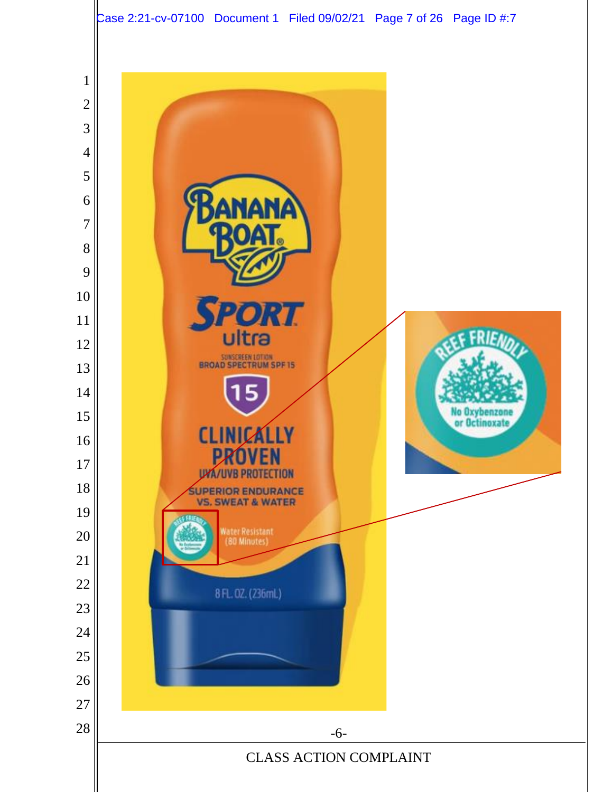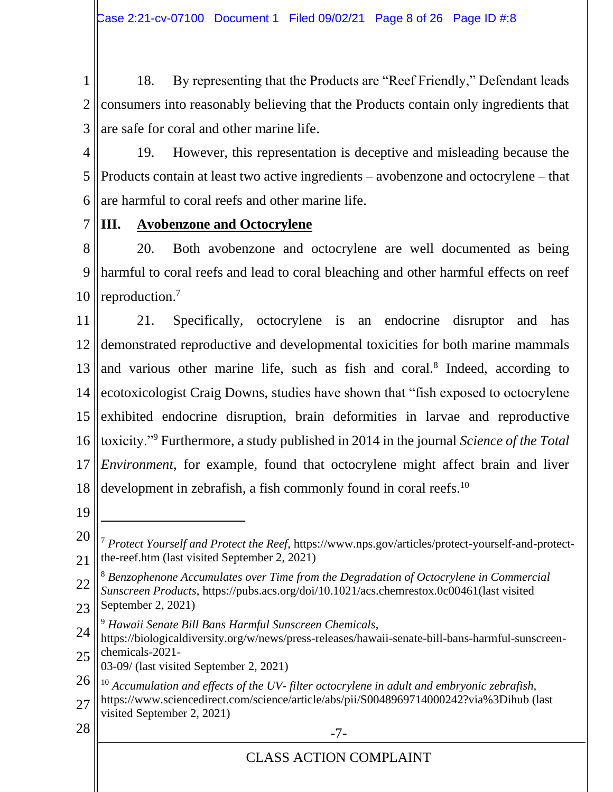1 2 3 18. By representing that the Products are "Reef Friendly," Defendant leads consumers into reasonably believing that the Products contain only ingredients that are safe for coral and other marine life.

4

7

5 6 19. However, this representation is deceptive and misleading because the Products contain at least two active ingredients – avobenzone and octocrylene – that are harmful to coral reefs and other marine life.

**III. Avobenzone and Octocrylene**

8 9 10 20. Both avobenzone and octocrylene are well documented as being harmful to coral reefs and lead to coral bleaching and other harmful effects on reef reproduction.<sup>7</sup>

11 12 13 14 15 16 17 18 21. Specifically, octocrylene is an endocrine disruptor and has demonstrated reproductive and developmental toxicities for both marine mammals and various other marine life, such as fish and coral.<sup>8</sup> Indeed, according to ecotoxicologist Craig Downs, studies have shown that "fish exposed to octocrylene exhibited endocrine disruption, brain deformities in larvae and reproductive toxicity."<sup>9</sup> Furthermore, a study published in 2014 in the journal *Science of the Total Environment*, for example, found that octocrylene might affect brain and liver development in zebrafish, a fish commonly found in coral reefs.<sup>10</sup>

19

- 22 <sup>8</sup> *Benzophenone Accumulates over Time from the Degradation of Octocrylene in Commercial Sunscreen Products,* https://pubs.acs.org/doi/10.1021/acs.chemrestox.0c00461(last visited September 2, 2021)
- 23
- 24 <sup>9</sup> *Hawaii Senate Bill Bans Harmful Sunscreen Chemicals*,
- 25 https://biologicaldiversity.org/w/news/press-releases/hawaii-senate-bill-bans-harmful-sunscreenchemicals-2021-
- 03-09/ (last visited September 2, 2021)
- 26 <sup>10</sup> *Accumulation and effects of the UV- filter octocrylene in adult and embryonic zebrafish,*
- 27 https://www.sciencedirect.com/science/article/abs/pii/S0048969714000242?via%3Dihub (last visited September 2, 2021)
- 
- $28 \parallel$  -7-

<sup>20</sup> 21 <sup>7</sup> *Protect Yourself and Protect the Reef*, https://www.nps.gov/articles/protect-yourself-and-protectthe-reef.htm (last visited September 2, 2021)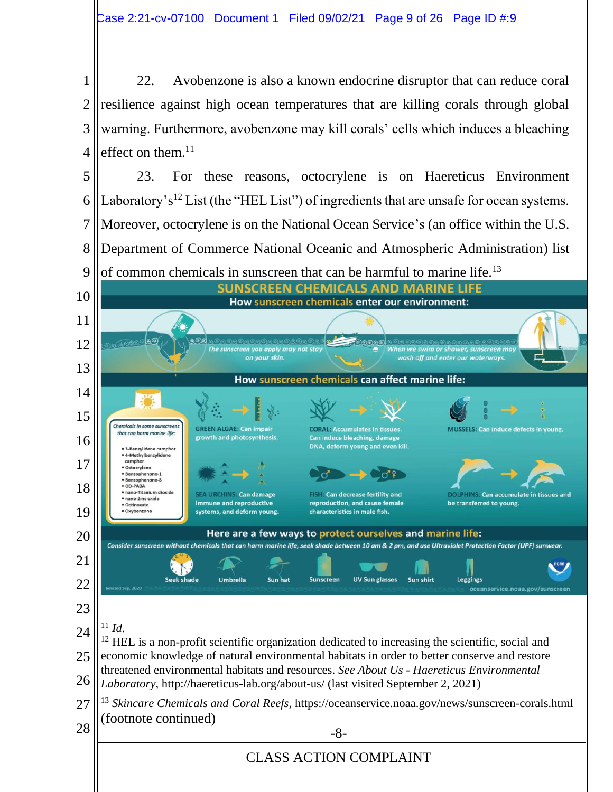22. Avobenzone is also a known endocrine disruptor that can reduce coral resilience against high ocean temperatures that are killing corals through global warning. Furthermore, avobenzone may kill corals' cells which induces a bleaching effect on them.

 23. For these reasons, octocrylene is on Haereticus Environment Laboratory's<sup>12</sup> List (the "HEL List") of ingredients that are unsafe for ocean systems. Moreover, octocrylene is on the National Ocean Service's (an office within the U.S. Department of Commerce National Oceanic and Atmospheric Administration) list



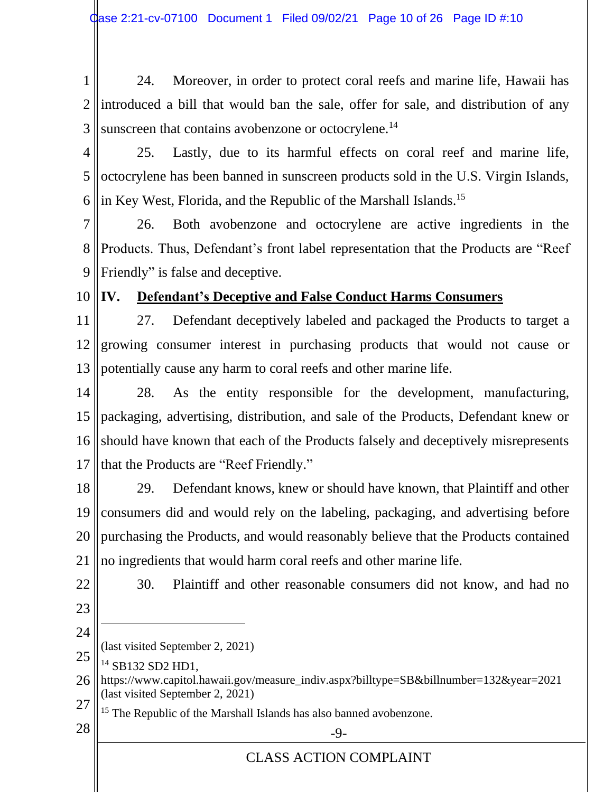1 2 3 24. Moreover, in order to protect coral reefs and marine life, Hawaii has introduced a bill that would ban the sale, offer for sale, and distribution of any sunscreen that contains avobenzone or octocrylene.<sup>14</sup>

4 5 6 25. Lastly, due to its harmful effects on coral reef and marine life, octocrylene has been banned in sunscreen products sold in the U.S. Virgin Islands, in Key West, Florida, and the Republic of the Marshall Islands.<sup>15</sup>

7 8 9 26. Both avobenzone and octocrylene are active ingredients in the Products. Thus, Defendant's front label representation that the Products are "Reef Friendly" is false and deceptive.

10

# **IV. Defendant's Deceptive and False Conduct Harms Consumers**

11 12 13 27. Defendant deceptively labeled and packaged the Products to target a growing consumer interest in purchasing products that would not cause or potentially cause any harm to coral reefs and other marine life.

14 15 16 17 28. As the entity responsible for the development, manufacturing, packaging, advertising, distribution, and sale of the Products, Defendant knew or should have known that each of the Products falsely and deceptively misrepresents that the Products are "Reef Friendly."

18 19 20 21 29. Defendant knows, knew or should have known, that Plaintiff and other consumers did and would rely on the labeling, packaging, and advertising before purchasing the Products, and would reasonably believe that the Products contained no ingredients that would harm coral reefs and other marine life.

22

30. Plaintiff and other reasonable consumers did not know, and had no

- 23
- 24 (last visited September 2, 2021)
- 25 <sup>14</sup> SB132 SD2 HD1,
- 26 27 https://www.capitol.hawaii.gov/measure\_indiv.aspx?billtype=SB&billnumber=132&year=2021 (last visited September 2, 2021)
	- <sup>15</sup> The Republic of the Marshall Islands has also banned avobenzone.
- $28 \parallel$   $-9$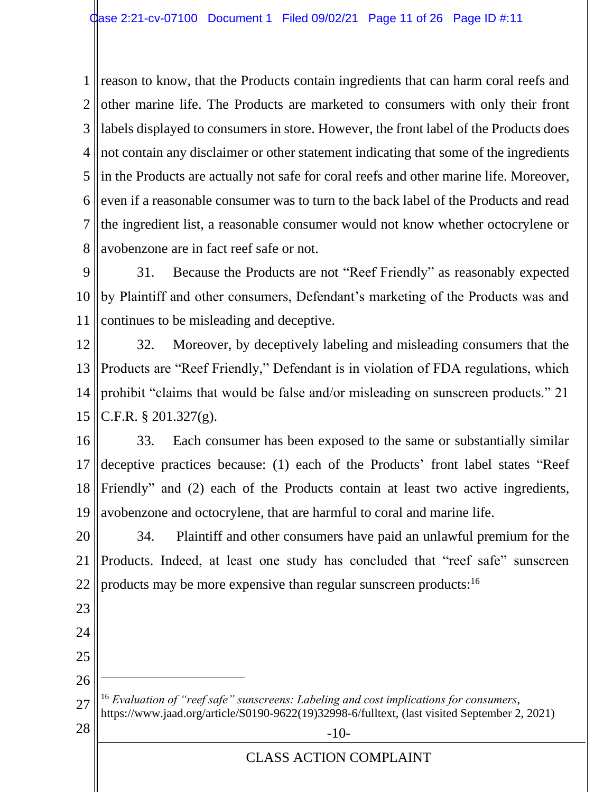1 2 3 4 5 6 7 8 reason to know, that the Products contain ingredients that can harm coral reefs and other marine life. The Products are marketed to consumers with only their front labels displayed to consumers in store. However, the front label of the Products does not contain any disclaimer or other statement indicating that some of the ingredients in the Products are actually not safe for coral reefs and other marine life. Moreover, even if a reasonable consumer was to turn to the back label of the Products and read the ingredient list, a reasonable consumer would not know whether octocrylene or avobenzone are in fact reef safe or not.

9 10 11 31. Because the Products are not "Reef Friendly" as reasonably expected by Plaintiff and other consumers, Defendant's marketing of the Products was and continues to be misleading and deceptive.

12 13 14 15 32. Moreover, by deceptively labeling and misleading consumers that the Products are "Reef Friendly," Defendant is in violation of FDA regulations, which prohibit "claims that would be false and/or misleading on sunscreen products." 21 C.F.R. § 201.327(g).

16 17 18 19 33. Each consumer has been exposed to the same or substantially similar deceptive practices because: (1) each of the Products' front label states "Reef Friendly" and (2) each of the Products contain at least two active ingredients, avobenzone and octocrylene, that are harmful to coral and marine life.

20 21 22 34. Plaintiff and other consumers have paid an unlawful premium for the Products. Indeed, at least one study has concluded that "reef safe" sunscreen products may be more expensive than regular sunscreen products:<sup>16</sup>

23

24

25

26

27 <sup>16</sup> *Evaluation of "reef safe" sunscreens: Labeling and cost implications for consumers*, [https://www.jaad.org/article/S0190-9622\(19\)32998-6/fulltext,](https://www.jaad.org/article/S0190-9622(19)32998-6/fulltext) (last visited September 2, 2021)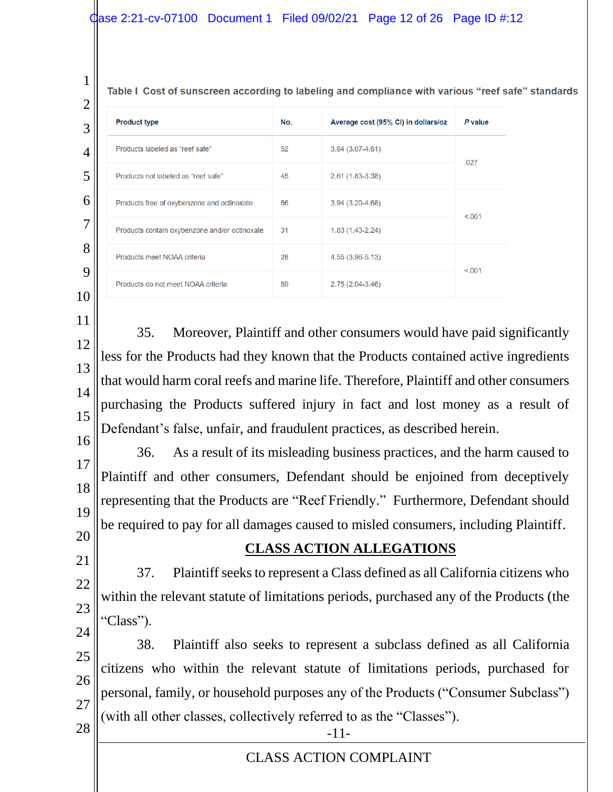#### $\beta$ ase 2:21-cv-07100 Document 1 Filed 09/02/21 Page 12 of 26 Page ID #:12

1

Table I Cost of sunscreen according to labeling and compliance with various "reef safe" standards

| $\overline{2}$ |                                               |     |                                     |         |
|----------------|-----------------------------------------------|-----|-------------------------------------|---------|
| 3              | <b>Product type</b>                           | No. | Average cost (95% CI) in dollars/oz | P value |
| 4              | Products labeled as "reef safe"               | 52  | $3.84(3.07 - 4.61)$                 | .027    |
| 5              | Products not labeled as "reef safe"           | 45  | 2.61 (1.83-3.38)                    |         |
| 6              | Products free of oxybenzone and octinoxate    | 66  | $3.94(3.20 - 4.68)$                 |         |
| 7              | Products contain oxybenzone and/or octinoxate | 31  | $1.83(1.43 - 2.24)$                 | < .001  |
| 8              | Products meet NOAA criteria                   | 28  | 4.55 (3.96-5.13)                    |         |
| 9              | Products do not meet NOAA criteria            | 69  | $2.75(2.04-3.46)$                   | < 0.001 |
|                |                                               |     |                                     |         |

11

12

13

14

15

35. Moreover, Plaintiff and other consumers would have paid significantly less for the Products had they known that the Products contained active ingredients that would harm coral reefs and marine life. Therefore, Plaintiff and other consumers purchasing the Products suffered injury in fact and lost money as a result of Defendant's false, unfair, and fraudulent practices, as described herein.

16 17 18 19 36. As a result of its misleading business practices, and the harm caused to Plaintiff and other consumers, Defendant should be enjoined from deceptively representing that the Products are "Reef Friendly." Furthermore, Defendant should be required to pay for all damages caused to misled consumers, including Plaintiff.

20 21

22

23

#### **CLASS ACTION ALLEGATIONS**

37. Plaintiff seeks to represent a Class defined as all California citizens who within the relevant statute of limitations periods, purchased any of the Products (the "Class").

24 25 26 27  $28 \, \parallel \, \cdot$  -11-38. Plaintiff also seeks to represent a subclass defined as all California citizens who within the relevant statute of limitations periods, purchased for personal, family, or household purposes any of the Products ("Consumer Subclass") (with all other classes, collectively referred to as the "Classes").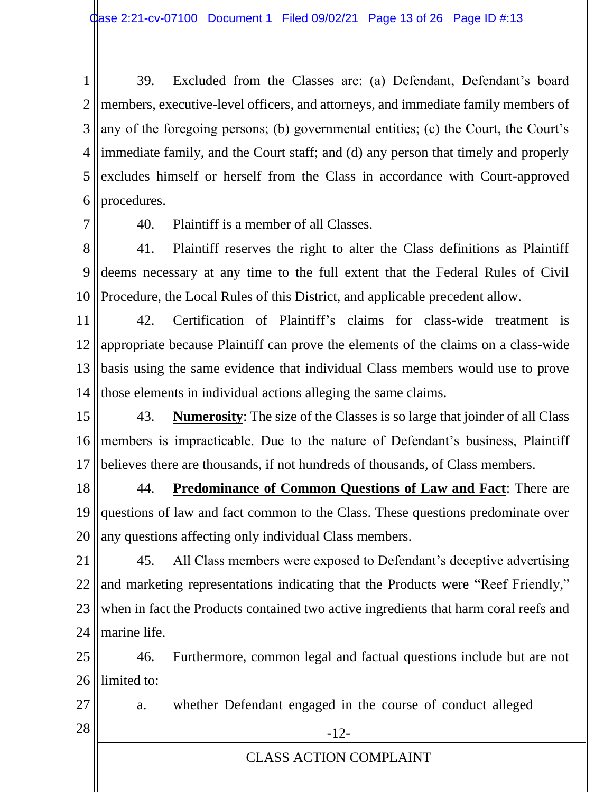1 2 3 4 5 6 39. Excluded from the Classes are: (a) Defendant, Defendant's board members, executive-level officers, and attorneys, and immediate family members of any of the foregoing persons; (b) governmental entities; (c) the Court, the Court's immediate family, and the Court staff; and (d) any person that timely and properly excludes himself or herself from the Class in accordance with Court-approved procedures.

7

40. Plaintiff is a member of all Classes.

8 9 10 41. Plaintiff reserves the right to alter the Class definitions as Plaintiff deems necessary at any time to the full extent that the Federal Rules of Civil Procedure, the Local Rules of this District, and applicable precedent allow.

11 12 13 14 42. Certification of Plaintiff's claims for class-wide treatment is appropriate because Plaintiff can prove the elements of the claims on a class-wide basis using the same evidence that individual Class members would use to prove those elements in individual actions alleging the same claims.

15 16 17 43. **Numerosity**: The size of the Classes is so large that joinder of all Class members is impracticable. Due to the nature of Defendant's business, Plaintiff believes there are thousands, if not hundreds of thousands, of Class members.

18 19 20 44. **Predominance of Common Questions of Law and Fact**: There are questions of law and fact common to the Class. These questions predominate over any questions affecting only individual Class members.

21 22 23 24 45. All Class members were exposed to Defendant's deceptive advertising and marketing representations indicating that the Products were "Reef Friendly," when in fact the Products contained two active ingredients that harm coral reefs and marine life.

25 26 46. Furthermore, common legal and factual questions include but are not limited to:

27  $28$   $\parallel$  -12a. whether Defendant engaged in the course of conduct alleged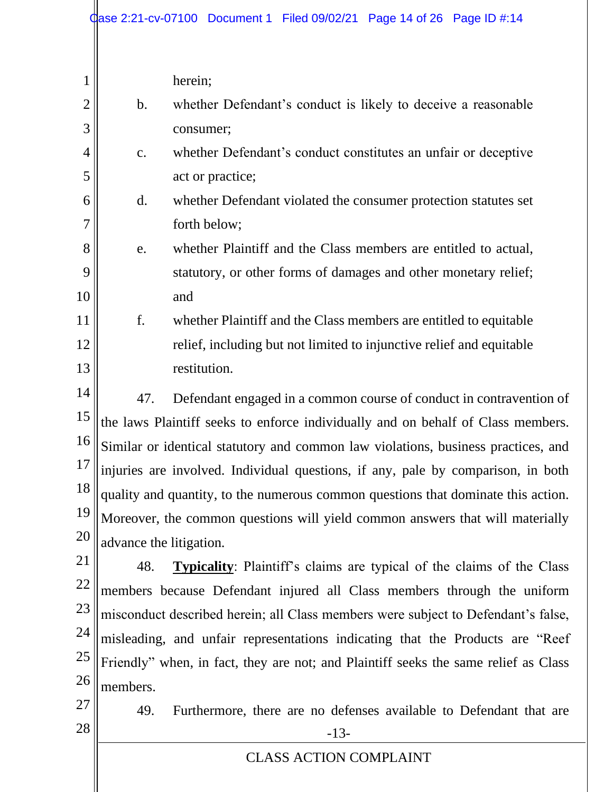| $\overline{2}$<br>3<br>$\overline{4}$                          | $\mathbf b$ .<br>c.                   | herein;<br>whether Defendant's conduct is likely to deceive a reasonable<br>consumer;<br>whether Defendant's conduct constitutes an unfair or deceptive                                                                                                                                                                                                                                                                                                                                                                                                                                                                                                                                                                                                                                                                                  |
|----------------------------------------------------------------|---------------------------------------|------------------------------------------------------------------------------------------------------------------------------------------------------------------------------------------------------------------------------------------------------------------------------------------------------------------------------------------------------------------------------------------------------------------------------------------------------------------------------------------------------------------------------------------------------------------------------------------------------------------------------------------------------------------------------------------------------------------------------------------------------------------------------------------------------------------------------------------|
| 5<br>6<br>7                                                    | $\mathbf{d}$ .                        | act or practice;<br>whether Defendant violated the consumer protection statutes set<br>forth below;                                                                                                                                                                                                                                                                                                                                                                                                                                                                                                                                                                                                                                                                                                                                      |
| 8<br>9<br>10                                                   | e.                                    | whether Plaintiff and the Class members are entitled to actual,<br>statutory, or other forms of damages and other monetary relief;<br>and                                                                                                                                                                                                                                                                                                                                                                                                                                                                                                                                                                                                                                                                                                |
| 11<br>12<br>13                                                 | f.                                    | whether Plaintiff and the Class members are entitled to equitable<br>relief, including but not limited to injunctive relief and equitable<br>restitution.                                                                                                                                                                                                                                                                                                                                                                                                                                                                                                                                                                                                                                                                                |
| 14<br>15<br>16<br>17<br>18<br>19<br>20<br>21<br>22<br>23<br>24 | 47.<br>advance the litigation.<br>48. | Defendant engaged in a common course of conduct in contravention of<br>the laws Plaintiff seeks to enforce individually and on behalf of Class members.<br>Similar or identical statutory and common law violations, business practices, and<br>injuries are involved. Individual questions, if any, pale by comparison, in both<br>quality and quantity, to the numerous common questions that dominate this action.<br>Moreover, the common questions will yield common answers that will materially<br><b>Typicality:</b> Plaintiff's claims are typical of the claims of the Class<br>members because Defendant injured all Class members through the uniform<br>misconduct described herein; all Class members were subject to Defendant's false,<br>misleading, and unfair representations indicating that the Products are "Reef" |
| 25<br>26<br>27<br>28                                           | members.<br>49.                       | Friendly" when, in fact, they are not; and Plaintiff seeks the same relief as Class<br>Furthermore, there are no defenses available to Defendant that are<br>$-13-$                                                                                                                                                                                                                                                                                                                                                                                                                                                                                                                                                                                                                                                                      |
|                                                                |                                       | <b>CLASS ACTION COMPLAINT</b>                                                                                                                                                                                                                                                                                                                                                                                                                                                                                                                                                                                                                                                                                                                                                                                                            |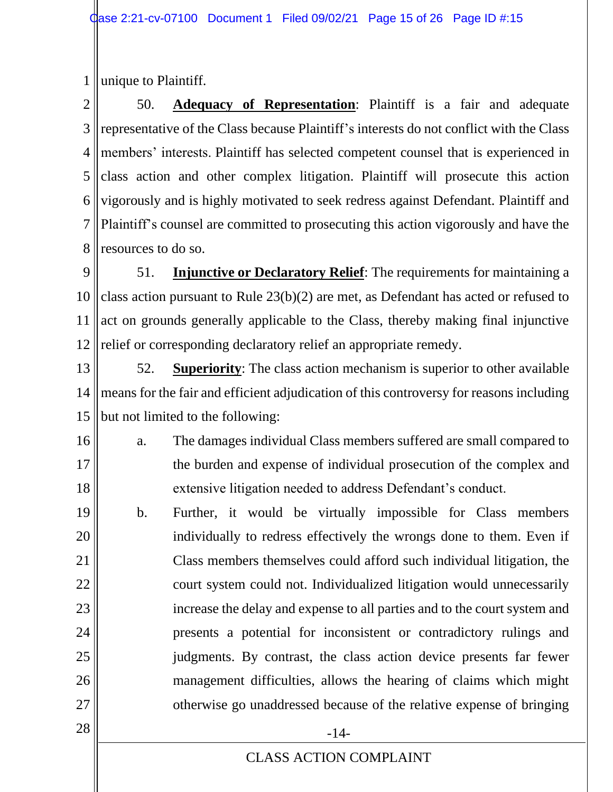1 unique to Plaintiff.

2 3 4 5 6 7 8 50. **Adequacy of Representation**: Plaintiff is a fair and adequate representative of the Class because Plaintiff's interests do not conflict with the Class members' interests. Plaintiff has selected competent counsel that is experienced in class action and other complex litigation. Plaintiff will prosecute this action vigorously and is highly motivated to seek redress against Defendant. Plaintiff and Plaintiff's counsel are committed to prosecuting this action vigorously and have the resources to do so.

9 10 11 12 51. **Injunctive or Declaratory Relief**: The requirements for maintaining a class action pursuant to Rule 23(b)(2) are met, as Defendant has acted or refused to act on grounds generally applicable to the Class, thereby making final injunctive relief or corresponding declaratory relief an appropriate remedy.

13 14 15 52. **Superiority**: The class action mechanism is superior to other available means for the fair and efficient adjudication of this controversy for reasons including but not limited to the following:

16 17 18 a. The damages individual Class members suffered are small compared to the burden and expense of individual prosecution of the complex and extensive litigation needed to address Defendant's conduct.

19 20 21 22 23 24 25 26 27 b. Further, it would be virtually impossible for Class members individually to redress effectively the wrongs done to them. Even if Class members themselves could afford such individual litigation, the court system could not. Individualized litigation would unnecessarily increase the delay and expense to all parties and to the court system and presents a potential for inconsistent or contradictory rulings and judgments. By contrast, the class action device presents far fewer management difficulties, allows the hearing of claims which might otherwise go unaddressed because of the relative expense of bringing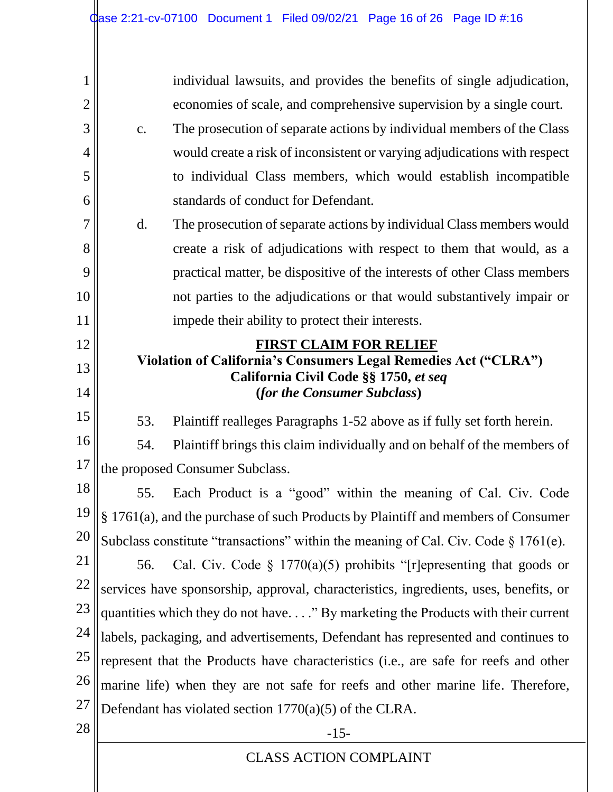| 1              |                                                                                                          | individual lawsuits, and provides the benefits of single adjudication,                 |  |
|----------------|----------------------------------------------------------------------------------------------------------|----------------------------------------------------------------------------------------|--|
| $\overline{2}$ |                                                                                                          | economies of scale, and comprehensive supervision by a single court.                   |  |
| 3              | $\mathbf{C}$ .                                                                                           | The prosecution of separate actions by individual members of the Class                 |  |
| $\overline{4}$ |                                                                                                          | would create a risk of inconsistent or varying adjudications with respect              |  |
| 5              |                                                                                                          | to individual Class members, which would establish incompatible                        |  |
| 6              |                                                                                                          | standards of conduct for Defendant.                                                    |  |
| $\overline{7}$ | $\mathbf{d}$ .                                                                                           | The prosecution of separate actions by individual Class members would                  |  |
| 8              |                                                                                                          | create a risk of adjudications with respect to them that would, as a                   |  |
| 9              |                                                                                                          | practical matter, be dispositive of the interests of other Class members               |  |
| 10             |                                                                                                          | not parties to the adjudications or that would substantively impair or                 |  |
| 11             |                                                                                                          | impede their ability to protect their interests.                                       |  |
| 12             |                                                                                                          | <b>FIRST CLAIM FOR RELIEF</b>                                                          |  |
| 13             | Violation of California's Consumers Legal Remedies Act ("CLRA")<br>California Civil Code §§ 1750, et seq |                                                                                        |  |
| 14             |                                                                                                          | (for the Consumer Subclass)                                                            |  |
| 15             | 53.                                                                                                      | Plaintiff realleges Paragraphs 1-52 above as if fully set forth herein.                |  |
| 16             | 54.                                                                                                      | Plaintiff brings this claim individually and on behalf of the members of               |  |
| 17             |                                                                                                          | the proposed Consumer Subclass.                                                        |  |
| 18             | 55.                                                                                                      | Each Product is a "good" within the meaning of Cal. Civ. Code                          |  |
| 19             |                                                                                                          | § 1761(a), and the purchase of such Products by Plaintiff and members of Consumer      |  |
| 20             |                                                                                                          | Subclass constitute "transactions" within the meaning of Cal. Civ. Code $\S 1761(e)$ . |  |
| 21             | 56.                                                                                                      | Cal. Civ. Code $\S 1770(a)(5)$ prohibits "[r] epresenting that goods or                |  |
| 22             |                                                                                                          | services have sponsorship, approval, characteristics, ingredients, uses, benefits, or  |  |
| 23             |                                                                                                          | quantities which they do not have" By marketing the Products with their current        |  |
| 24             |                                                                                                          | labels, packaging, and advertisements, Defendant has represented and continues to      |  |
| 25             |                                                                                                          | represent that the Products have characteristics (i.e., are safe for reefs and other   |  |
| 26             |                                                                                                          | marine life) when they are not safe for reefs and other marine life. Therefore,        |  |
| 27             |                                                                                                          | Defendant has violated section $1770(a)(5)$ of the CLRA.                               |  |
| 28             |                                                                                                          | $-15-$                                                                                 |  |
|                |                                                                                                          | <b>CLASS ACTION COMPLAINT</b>                                                          |  |
|                |                                                                                                          |                                                                                        |  |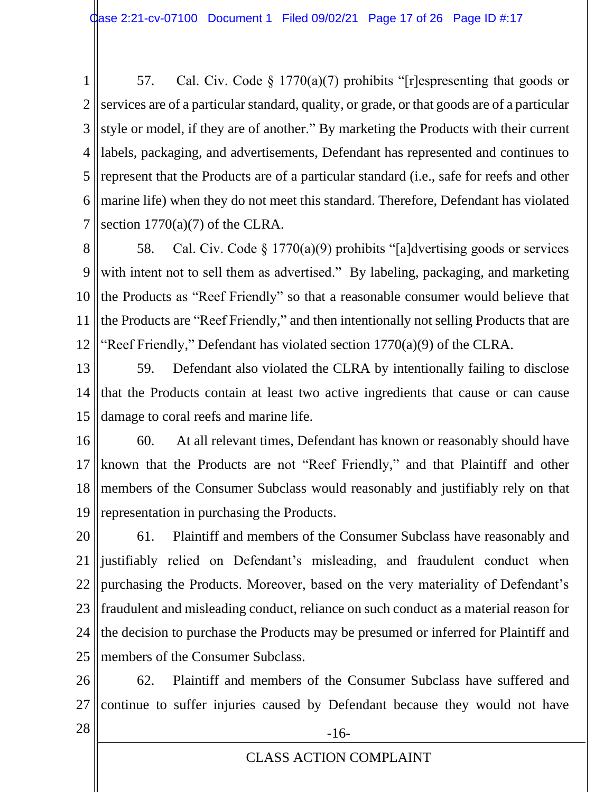1 2 3 4 5 6 7 57. Cal. Civ. Code § 1770(a)(7) prohibits "[r]espresenting that goods or services are of a particular standard, quality, or grade, or that goods are of a particular style or model, if they are of another." By marketing the Products with their current labels, packaging, and advertisements, Defendant has represented and continues to represent that the Products are of a particular standard (i.e., safe for reefs and other marine life) when they do not meet this standard. Therefore, Defendant has violated section  $1770(a)(7)$  of the CLRA.

8 9 10 11 12 58. Cal. Civ. Code § 1770(a)(9) prohibits "[a]dvertising goods or services with intent not to sell them as advertised." By labeling, packaging, and marketing the Products as "Reef Friendly" so that a reasonable consumer would believe that the Products are "Reef Friendly," and then intentionally not selling Products that are "Reef Friendly," Defendant has violated section 1770(a)(9) of the CLRA.

- 13 14 15 59. Defendant also violated the CLRA by intentionally failing to disclose that the Products contain at least two active ingredients that cause or can cause damage to coral reefs and marine life.
- 16 17 18 19 60. At all relevant times, Defendant has known or reasonably should have known that the Products are not "Reef Friendly," and that Plaintiff and other members of the Consumer Subclass would reasonably and justifiably rely on that representation in purchasing the Products.

20 21 22 23 24 25 61. Plaintiff and members of the Consumer Subclass have reasonably and justifiably relied on Defendant's misleading, and fraudulent conduct when purchasing the Products. Moreover, based on the very materiality of Defendant's fraudulent and misleading conduct, reliance on such conduct as a material reason for the decision to purchase the Products may be presumed or inferred for Plaintiff and members of the Consumer Subclass.

26 27 62. Plaintiff and members of the Consumer Subclass have suffered and continue to suffer injuries caused by Defendant because they would not have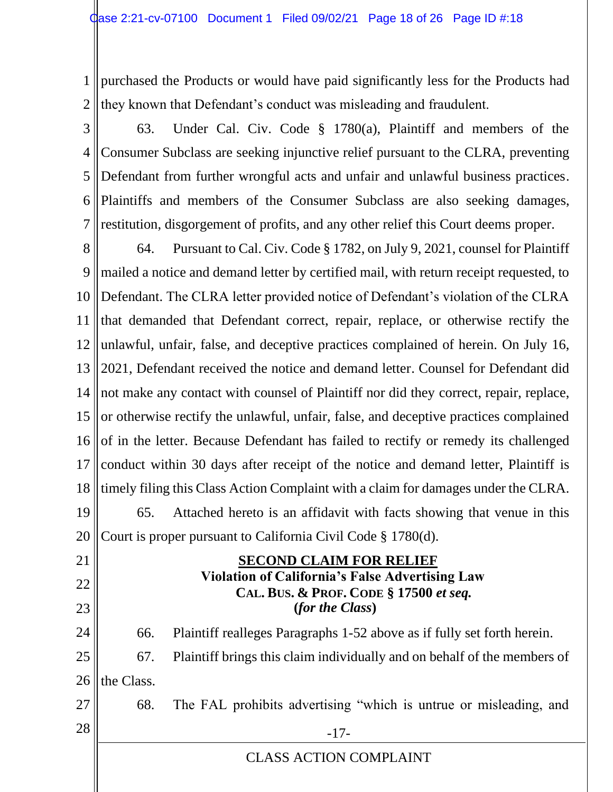1 2 purchased the Products or would have paid significantly less for the Products had they known that Defendant's conduct was misleading and fraudulent.

3 4 5 6 7 63. Under Cal. Civ. Code § 1780(a), Plaintiff and members of the Consumer Subclass are seeking injunctive relief pursuant to the CLRA, preventing Defendant from further wrongful acts and unfair and unlawful business practices. Plaintiffs and members of the Consumer Subclass are also seeking damages, restitution, disgorgement of profits, and any other relief this Court deems proper.

8 9 10 11 12 13 14 15 16 17 18 19 20 64. Pursuant to Cal. Civ. Code § 1782, on July 9, 2021, counsel for Plaintiff mailed a notice and demand letter by certified mail, with return receipt requested, to Defendant. The CLRA letter provided notice of Defendant's violation of the CLRA that demanded that Defendant correct, repair, replace, or otherwise rectify the unlawful, unfair, false, and deceptive practices complained of herein. On July 16, 2021, Defendant received the notice and demand letter. Counsel for Defendant did not make any contact with counsel of Plaintiff nor did they correct, repair, replace, or otherwise rectify the unlawful, unfair, false, and deceptive practices complained of in the letter. Because Defendant has failed to rectify or remedy its challenged conduct within 30 days after receipt of the notice and demand letter, Plaintiff is timely filing this Class Action Complaint with a claim for damages under the CLRA. 65. Attached hereto is an affidavit with facts showing that venue in this Court is proper pursuant to California Civil Code § 1780(d).

21 22 23 24 25 26 27  $28 \parallel$  -17- **SECOND CLAIM FOR RELIEF Violation of California's False Advertising Law CAL. BUS. & PROF. CODE § 17500** *et seq.* **(***for the Class***)** 66. Plaintiff realleges Paragraphs 1-52 above as if fully set forth herein. 67. Plaintiff brings this claim individually and on behalf of the members of the Class. 68. The FAL prohibits advertising "which is untrue or misleading, and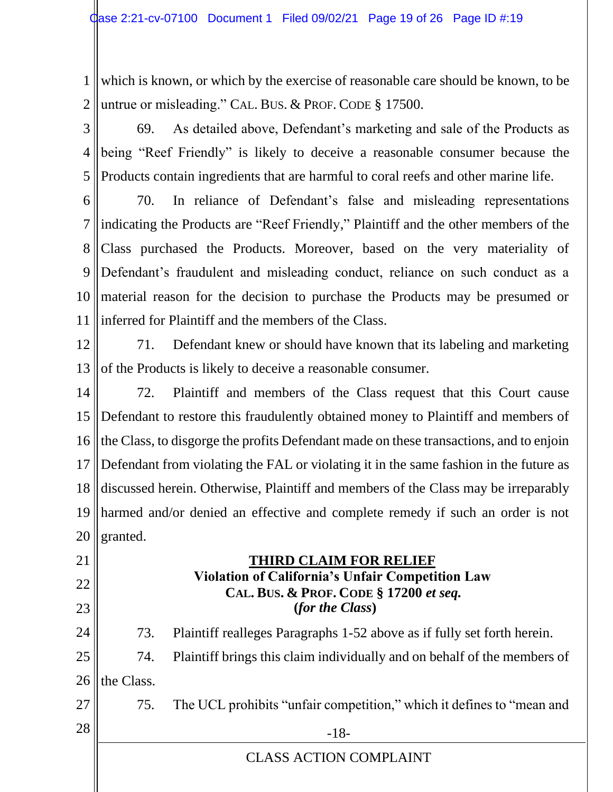1 2 which is known, or which by the exercise of reasonable care should be known, to be untrue or misleading." CAL. BUS. & PROF. CODE § 17500.

3 4 5 69. As detailed above, Defendant's marketing and sale of the Products as being "Reef Friendly" is likely to deceive a reasonable consumer because the Products contain ingredients that are harmful to coral reefs and other marine life.

6 7 8 9 10 11 70. In reliance of Defendant's false and misleading representations indicating the Products are "Reef Friendly," Plaintiff and the other members of the Class purchased the Products. Moreover, based on the very materiality of Defendant's fraudulent and misleading conduct, reliance on such conduct as a material reason for the decision to purchase the Products may be presumed or inferred for Plaintiff and the members of the Class.

12 13 71. Defendant knew or should have known that its labeling and marketing of the Products is likely to deceive a reasonable consumer.

14 15 16 17 18 19 20 72. Plaintiff and members of the Class request that this Court cause Defendant to restore this fraudulently obtained money to Plaintiff and members of the Class, to disgorge the profits Defendant made on these transactions, and to enjoin Defendant from violating the FAL or violating it in the same fashion in the future as discussed herein. Otherwise, Plaintiff and members of the Class may be irreparably harmed and/or denied an effective and complete remedy if such an order is not granted.

 **THIRD CLAIM FOR RELIEF Violation of California's Unfair Competition Law CAL. BUS. & PROF. CODE § 17200** *et seq.* **(***for the Class***)** 73. Plaintiff realleges Paragraphs 1-52 above as if fully set forth herein. 74. Plaintiff brings this claim individually and on behalf of the members of

26 the Class.

75. The UCL prohibits "unfair competition," which it defines to "mean and

 $28$  ||  $-18$ -

27

21

22

23

24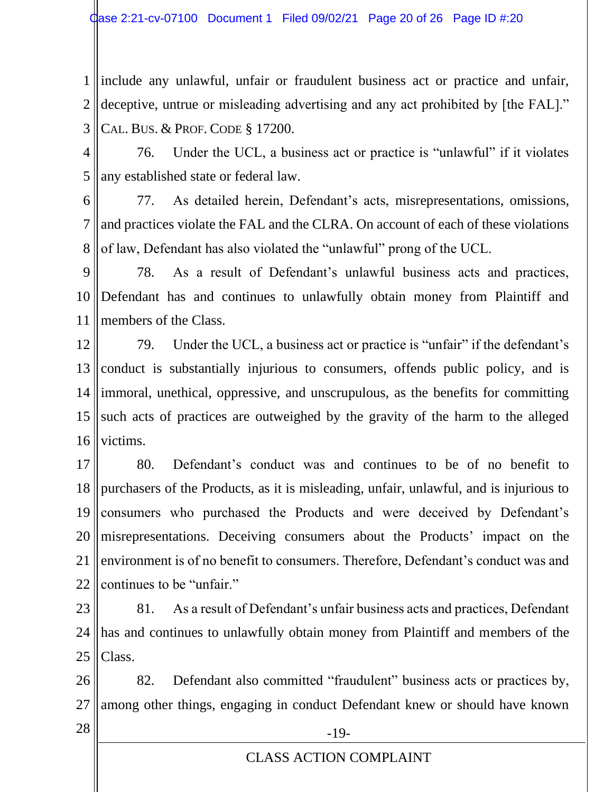1 2 3 include any unlawful, unfair or fraudulent business act or practice and unfair, deceptive, untrue or misleading advertising and any act prohibited by [the FAL]." CAL. BUS. & PROF. CODE § 17200.

4 5 76. Under the UCL, a business act or practice is "unlawful" if it violates any established state or federal law.

6 7 8 77. As detailed herein, Defendant's acts, misrepresentations, omissions, and practices violate the FAL and the CLRA. On account of each of these violations of law, Defendant has also violated the "unlawful" prong of the UCL.

9 10 11 78. As a result of Defendant's unlawful business acts and practices, Defendant has and continues to unlawfully obtain money from Plaintiff and members of the Class.

12 13 14 15 16 79. Under the UCL, a business act or practice is "unfair" if the defendant's conduct is substantially injurious to consumers, offends public policy, and is immoral, unethical, oppressive, and unscrupulous, as the benefits for committing such acts of practices are outweighed by the gravity of the harm to the alleged victims.

17 18 19 20 21 22 80. Defendant's conduct was and continues to be of no benefit to purchasers of the Products, as it is misleading, unfair, unlawful, and is injurious to consumers who purchased the Products and were deceived by Defendant's misrepresentations. Deceiving consumers about the Products' impact on the environment is of no benefit to consumers. Therefore, Defendant's conduct was and continues to be "unfair."

23 24 25 81. As a result of Defendant's unfair business acts and practices, Defendant has and continues to unlawfully obtain money from Plaintiff and members of the Class.

26 27 82. Defendant also committed "fraudulent" business acts or practices by, among other things, engaging in conduct Defendant knew or should have known

 $28$  ||  $-19$ -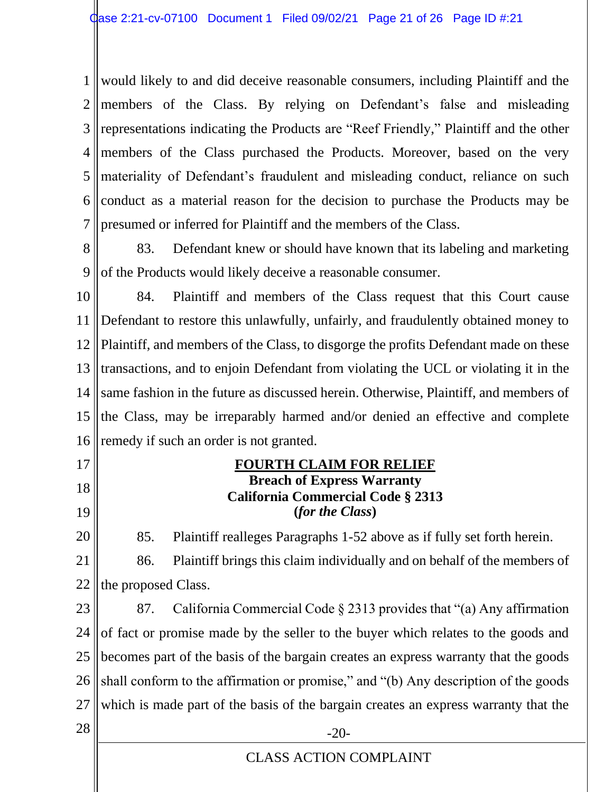1 2 3 4 5 6 7 would likely to and did deceive reasonable consumers, including Plaintiff and the members of the Class. By relying on Defendant's false and misleading representations indicating the Products are "Reef Friendly," Plaintiff and the other members of the Class purchased the Products. Moreover, based on the very materiality of Defendant's fraudulent and misleading conduct, reliance on such conduct as a material reason for the decision to purchase the Products may be presumed or inferred for Plaintiff and the members of the Class.

8 9 83. Defendant knew or should have known that its labeling and marketing of the Products would likely deceive a reasonable consumer.

10 11 12 13 14 15 16 84. Plaintiff and members of the Class request that this Court cause Defendant to restore this unlawfully, unfairly, and fraudulently obtained money to Plaintiff, and members of the Class, to disgorge the profits Defendant made on these transactions, and to enjoin Defendant from violating the UCL or violating it in the same fashion in the future as discussed herein. Otherwise, Plaintiff, and members of the Class, may be irreparably harmed and/or denied an effective and complete remedy if such an order is not granted.

- 17
- 18
- 19

20

85. Plaintiff realleges Paragraphs 1-52 above as if fully set forth herein.

**FOURTH CLAIM FOR RELIEF Breach of Express Warranty California Commercial Code § 2313 (***for the Class***)**

21 22 86. Plaintiff brings this claim individually and on behalf of the members of the proposed Class.

23 24 25 26 27 87. California Commercial Code § 2313 provides that "(a) Any affirmation of fact or promise made by the seller to the buyer which relates to the goods and becomes part of the basis of the bargain creates an express warranty that the goods shall conform to the affirmation or promise," and "(b) Any description of the goods which is made part of the basis of the bargain creates an express warranty that the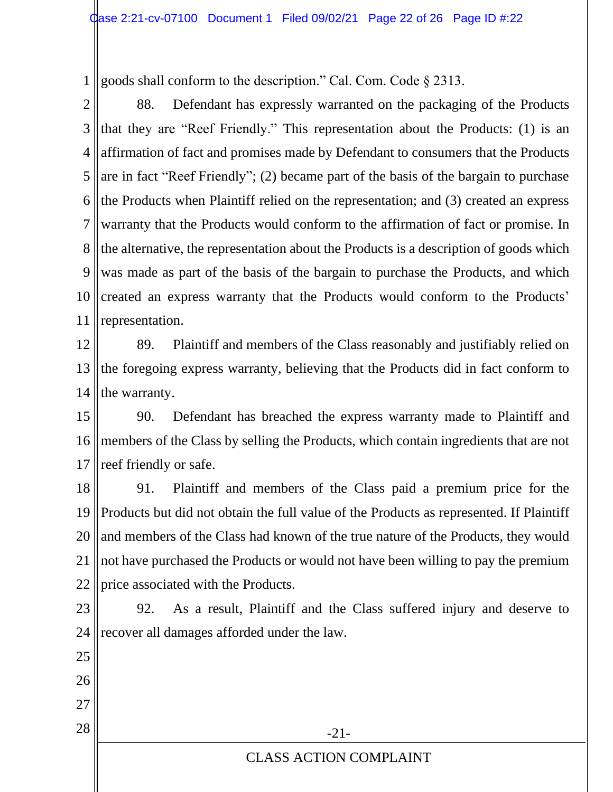1 goods shall conform to the description." Cal. Com. Code § 2313.

2 3 4 5 6 7 8 9 10 11 88. Defendant has expressly warranted on the packaging of the Products that they are "Reef Friendly." This representation about the Products: (1) is an affirmation of fact and promises made by Defendant to consumers that the Products are in fact "Reef Friendly"; (2) became part of the basis of the bargain to purchase the Products when Plaintiff relied on the representation; and (3) created an express warranty that the Products would conform to the affirmation of fact or promise. In the alternative, the representation about the Products is a description of goods which was made as part of the basis of the bargain to purchase the Products, and which created an express warranty that the Products would conform to the Products' representation.

12 13 14 89. Plaintiff and members of the Class reasonably and justifiably relied on the foregoing express warranty, believing that the Products did in fact conform to the warranty.

15 16 17 90. Defendant has breached the express warranty made to Plaintiff and members of the Class by selling the Products, which contain ingredients that are not reef friendly or safe.

18 19 20 21 22 91. Plaintiff and members of the Class paid a premium price for the Products but did not obtain the full value of the Products as represented. If Plaintiff and members of the Class had known of the true nature of the Products, they would not have purchased the Products or would not have been willing to pay the premium price associated with the Products.

23 24 92. As a result, Plaintiff and the Class suffered injury and deserve to recover all damages afforded under the law.

25 26 27  $28$   $\parallel$  -21-CLASS ACTION COMPLAINT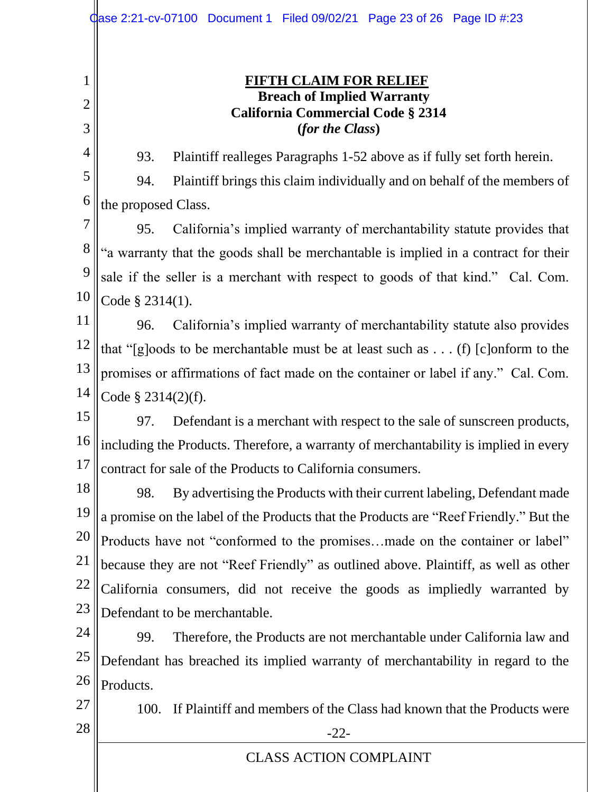2 3

1

# **FIFTH CLAIM FOR RELIEF Breach of Implied Warranty California Commercial Code § 2314 (***for the Class***)**

93. Plaintiff realleges Paragraphs 1-52 above as if fully set forth herein.

5

6

4

94. Plaintiff brings this claim individually and on behalf of the members of the proposed Class.

7 8 9 10 95. California's implied warranty of merchantability statute provides that "a warranty that the goods shall be merchantable is implied in a contract for their sale if the seller is a merchant with respect to goods of that kind." Cal. Com. Code § 2314(1).

11 12 13 14 96. California's implied warranty of merchantability statute also provides that "[g]oods to be merchantable must be at least such as . . . (f) [c]onform to the promises or affirmations of fact made on the container or label if any." Cal. Com. Code § 2314(2)(f).

15 16 17 97. Defendant is a merchant with respect to the sale of sunscreen products, including the Products. Therefore, a warranty of merchantability is implied in every contract for sale of the Products to California consumers.

18 19 20 21 22 23 98. By advertising the Products with their current labeling, Defendant made a promise on the label of the Products that the Products are "Reef Friendly." But the Products have not "conformed to the promises…made on the container or label" because they are not "Reef Friendly" as outlined above. Plaintiff, as well as other California consumers, did not receive the goods as impliedly warranted by Defendant to be merchantable.

24 25 26 99. Therefore, the Products are not merchantable under California law and Defendant has breached its implied warranty of merchantability in regard to the Products.

100. If Plaintiff and members of the Class had known that the Products were

 $28 \parallel$  -22-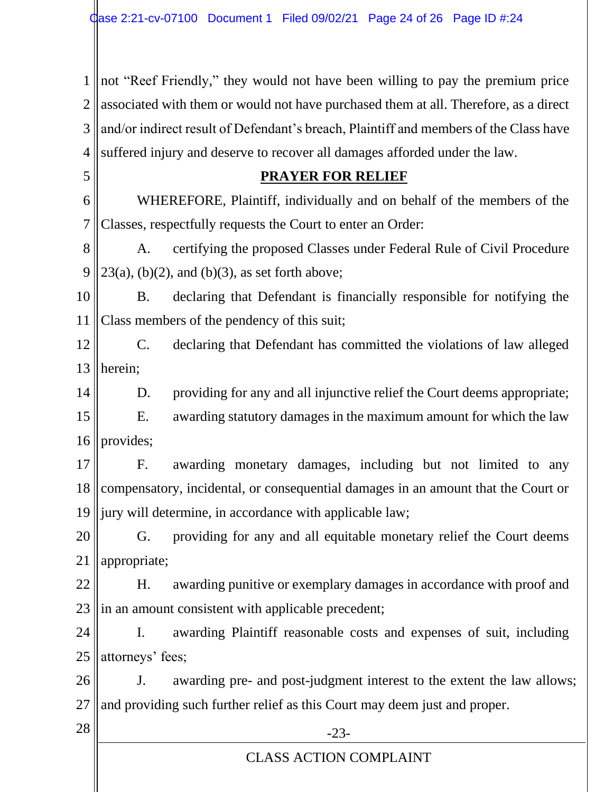1 2 3 4 not "Reef Friendly," they would not have been willing to pay the premium price associated with them or would not have purchased them at all. Therefore, as a direct and/or indirect result of Defendant's breach, Plaintiff and members of the Class have suffered injury and deserve to recover all damages afforded under the law.

#### **PRAYER FOR RELIEF**

6 7 WHEREFORE, Plaintiff, individually and on behalf of the members of the Classes, respectfully requests the Court to enter an Order:

8 9 A. certifying the proposed Classes under Federal Rule of Civil Procedure  $23(a)$ , (b)(2), and (b)(3), as set forth above;

10 11 B. declaring that Defendant is financially responsible for notifying the Class members of the pendency of this suit;

12 13 C. declaring that Defendant has committed the violations of law alleged herein;

14 D. providing for any and all injunctive relief the Court deems appropriate;

15 16 E. awarding statutory damages in the maximum amount for which the law provides;

17 18 19 F. awarding monetary damages, including but not limited to any compensatory, incidental, or consequential damages in an amount that the Court or jury will determine, in accordance with applicable law;

20 21 G. providing for any and all equitable monetary relief the Court deems appropriate;

22 23 H. awarding punitive or exemplary damages in accordance with proof and in an amount consistent with applicable precedent;

24 25 I. awarding Plaintiff reasonable costs and expenses of suit, including attorneys' fees;

26 27 J. awarding pre- and post-judgment interest to the extent the law allows; and providing such further relief as this Court may deem just and proper.

5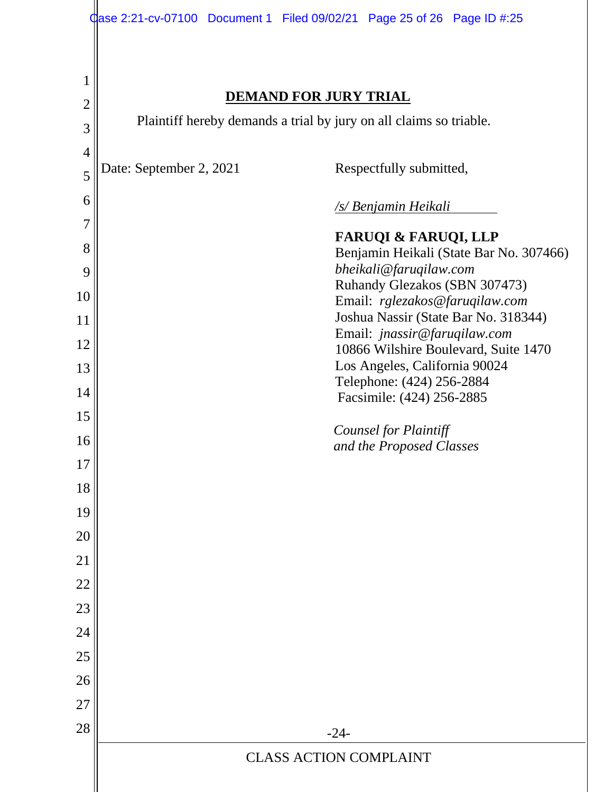| $\mathbf 1$<br><b>DEMAND FOR JURY TRIAL</b><br>$\overline{2}$<br>Plaintiff hereby demands a trial by jury on all claims so triable.<br>3<br>$\overline{4}$<br>Date: September 2, 2021<br>Respectfully submitted,<br>5<br>6<br><u>/s/ Benjamin Heikali</u> |  |
|-----------------------------------------------------------------------------------------------------------------------------------------------------------------------------------------------------------------------------------------------------------|--|
|                                                                                                                                                                                                                                                           |  |
|                                                                                                                                                                                                                                                           |  |
|                                                                                                                                                                                                                                                           |  |
|                                                                                                                                                                                                                                                           |  |
|                                                                                                                                                                                                                                                           |  |
| 7<br><b>FARUQI &amp; FARUQI, LLP</b>                                                                                                                                                                                                                      |  |
| 8<br>Benjamin Heikali (State Bar No. 307466)<br>bheikali@faruqilaw.com<br>9                                                                                                                                                                               |  |
| Ruhandy Glezakos (SBN 307473)<br>10                                                                                                                                                                                                                       |  |
| Email: rglezakos@faruqilaw.com<br>Joshua Nassir (State Bar No. 318344)<br>11                                                                                                                                                                              |  |
| Email: jnassir@faruqilaw.com<br>12                                                                                                                                                                                                                        |  |
| 10866 Wilshire Boulevard, Suite 1470<br>Los Angeles, California 90024<br>13                                                                                                                                                                               |  |
| Telephone: (424) 256-2884<br>14<br>Facsimile: (424) 256-2885                                                                                                                                                                                              |  |
| 15                                                                                                                                                                                                                                                        |  |
| <b>Counsel for Plaintiff</b><br>16<br>and the Proposed Classes                                                                                                                                                                                            |  |
| 17                                                                                                                                                                                                                                                        |  |
| 18                                                                                                                                                                                                                                                        |  |
| 19                                                                                                                                                                                                                                                        |  |
| 20                                                                                                                                                                                                                                                        |  |
| 21                                                                                                                                                                                                                                                        |  |
| 22                                                                                                                                                                                                                                                        |  |
| 23                                                                                                                                                                                                                                                        |  |
| 24                                                                                                                                                                                                                                                        |  |
| 25                                                                                                                                                                                                                                                        |  |
| 26                                                                                                                                                                                                                                                        |  |
| 27                                                                                                                                                                                                                                                        |  |
| 28<br>$-24-$                                                                                                                                                                                                                                              |  |
| <b>CLASS ACTION COMPLAINT</b>                                                                                                                                                                                                                             |  |